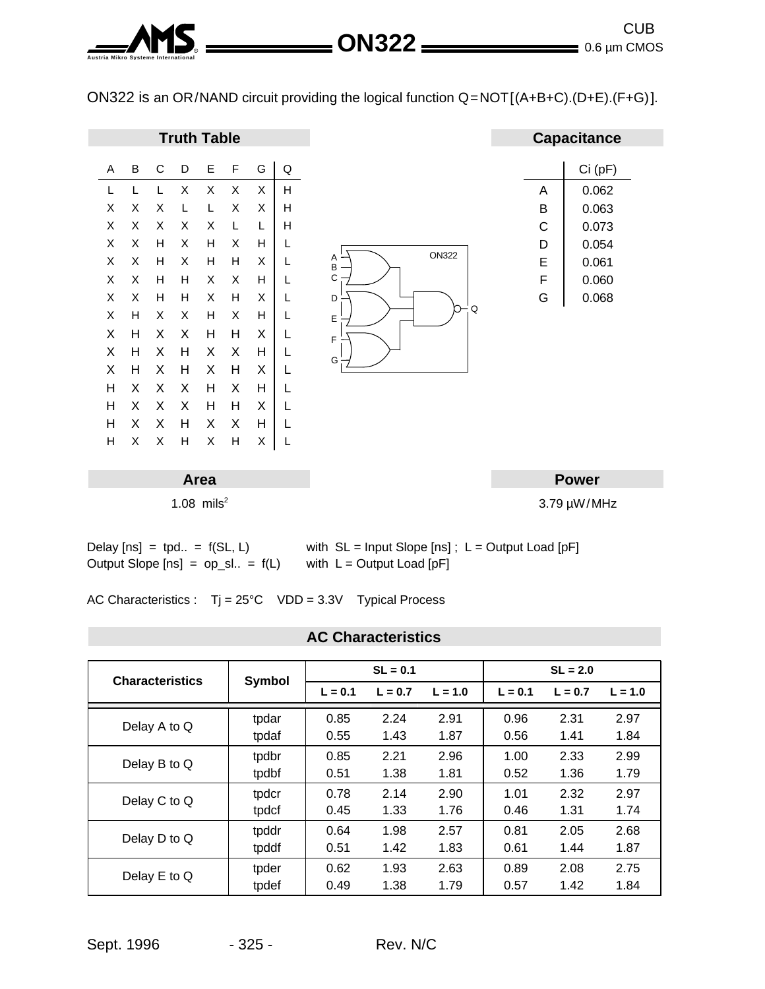**Austria Mikro Systeme International** <sup>R</sup> 0.6 µm CMOS CUB **ON322**

ON322 is an OR/NAND circuit providing the logical function Q=NOT[(A+B+C).(D+E).(F+G)].



AC Characteristics : Tj = 25°C VDD = 3.3V Typical Process

## **AC Characteristics**

| <b>Characteristics</b> | Symbol | $SL = 0.1$ |           |           | $SL = 2.0$ |           |           |
|------------------------|--------|------------|-----------|-----------|------------|-----------|-----------|
|                        |        | $L = 0.1$  | $L = 0.7$ | $L = 1.0$ | $L = 0.1$  | $L = 0.7$ | $L = 1.0$ |
| Delay A to Q           | tpdar  | 0.85       | 2.24      | 2.91      | 0.96       | 2.31      | 2.97      |
|                        | tpdaf  | 0.55       | 1.43      | 1.87      | 0.56       | 1.41      | 1.84      |
| Delay B to Q           | tpdbr  | 0.85       | 2.21      | 2.96      | 1.00       | 2.33      | 2.99      |
|                        | tpdbf  | 0.51       | 1.38      | 1.81      | 0.52       | 1.36      | 1.79      |
| Delay C to Q           | tpdcr  | 0.78       | 2.14      | 2.90      | 1.01       | 2.32      | 2.97      |
|                        | tpdcf  | 0.45       | 1.33      | 1.76      | 0.46       | 1.31      | 1.74      |
| Delay D to Q           | tpddr  | 0.64       | 1.98      | 2.57      | 0.81       | 2.05      | 2.68      |
|                        | tpddf  | 0.51       | 1.42      | 1.83      | 0.61       | 1.44      | 1.87      |
| Delay E to Q           | tpder  | 0.62       | 1.93      | 2.63      | 0.89       | 2.08      | 2.75      |
|                        | tpdef  | 0.49       | 1.38      | 1.79      | 0.57       | 1.42      | 1.84      |